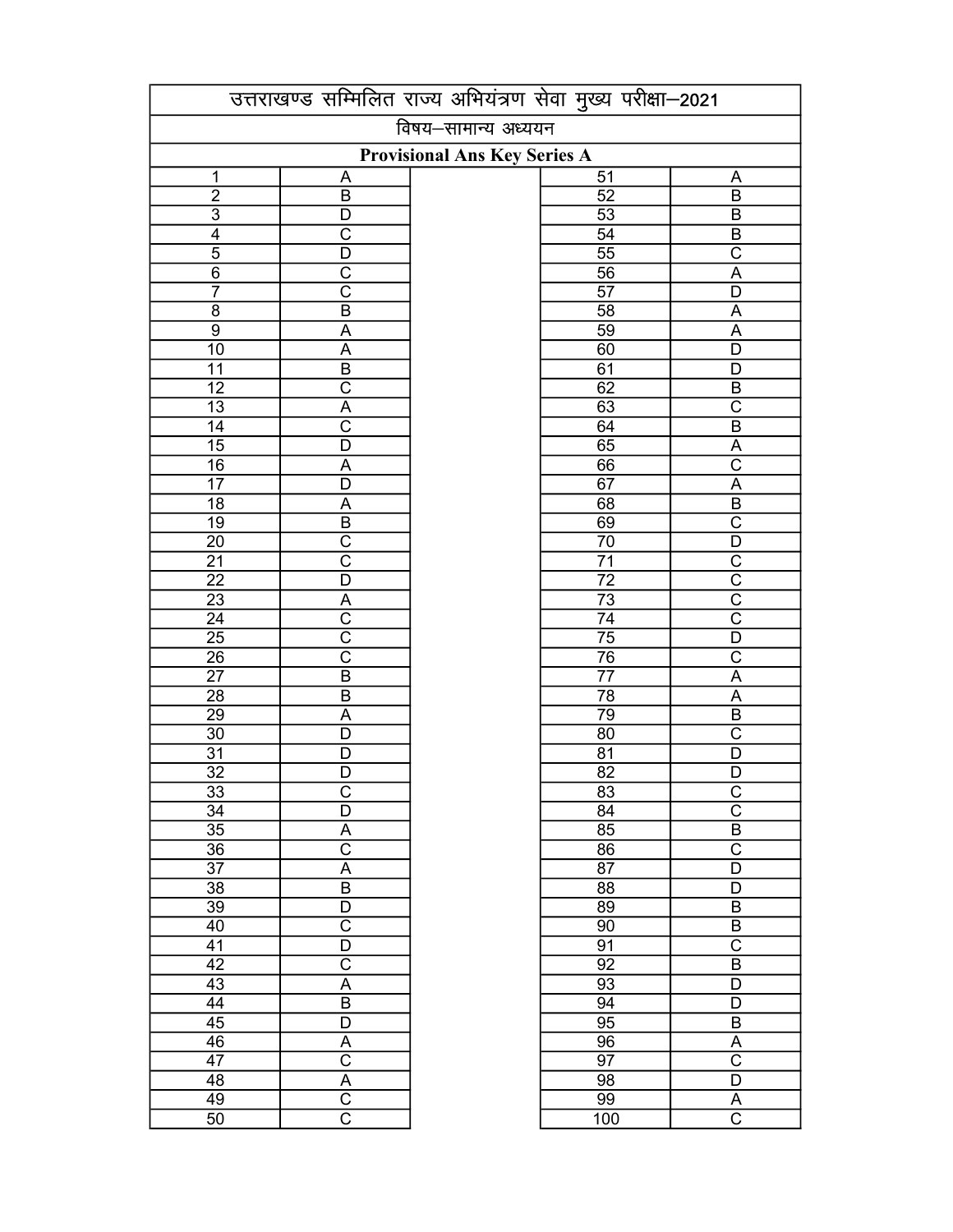|                 | उत्तराखण्ड सम्मिलित राज्य अभियंत्रण सेवा मुख्य परीक्षा-2021 |  |                 |                         |  |
|-----------------|-------------------------------------------------------------|--|-----------------|-------------------------|--|
|                 | विषय–सामान्य अध्ययन<br><b>Provisional Ans Key Series A</b>  |  |                 |                         |  |
|                 |                                                             |  |                 |                         |  |
| 1               | A                                                           |  | 51              | A                       |  |
| $\overline{2}$  | B                                                           |  | $\overline{52}$ | B                       |  |
| $\overline{3}$  | D                                                           |  | $\overline{53}$ | $\overline{B}$          |  |
| $\overline{4}$  | $\overline{\text{c}}$                                       |  | $\overline{54}$ | $\overline{B}$          |  |
| $\overline{5}$  | $\overline{\mathsf{D}}$                                     |  | $\overline{55}$ | $\overline{\text{c}}$   |  |
| $\overline{6}$  | $\overline{\text{c}}$                                       |  | $\overline{56}$ | $\overline{A}$          |  |
| $\overline{7}$  | $\overline{\text{c}}$                                       |  | $\overline{57}$ | $\overline{\mathsf{D}}$ |  |
| $\overline{8}$  | $\overline{\mathsf{B}}$                                     |  | $\overline{58}$ | $\overline{A}$          |  |
| $\overline{9}$  | $\overline{A}$                                              |  | $\overline{59}$ | $\overline{A}$          |  |
| $\overline{10}$ | A                                                           |  | 60              | $\overline{\mathsf{D}}$ |  |
| $\overline{11}$ | $\overline{\mathsf{B}}$                                     |  | 61              | $\overline{D}$          |  |
| $\overline{12}$ | $\overline{\text{c}}$                                       |  | 62              |                         |  |
| $\overline{13}$ | $\overline{A}$                                              |  | $\overline{63}$ | $rac{\overline{B}}{C}$  |  |
| $\overline{14}$ | $\overline{\text{c}}$                                       |  | 64              | $\overline{B}$          |  |
| $\overline{15}$ | $\overline{\mathsf{D}}$                                     |  | 65              | $\overline{A}$          |  |
| 16              | $\overline{A}$                                              |  | 66              | $\overline{\mathrm{c}}$ |  |
| $\overline{17}$ | $\overline{\mathsf{D}}$                                     |  | 67              | $\overline{A}$          |  |
| $\overline{18}$ | $\overline{A}$                                              |  | 68              | $\overline{\mathsf{B}}$ |  |
| $\overline{19}$ | $\overline{\mathsf{B}}$                                     |  | 69              | $\overline{\text{c}}$   |  |
| $\overline{20}$ | $\overline{\text{c}}$                                       |  | $\overline{70}$ | $\overline{D}$          |  |
| $\overline{21}$ | $\overline{\text{c}}$                                       |  | $\overline{71}$ | $\overline{\mathsf{C}}$ |  |
| $\overline{22}$ | $\overline{\mathsf{D}}$                                     |  | $\overline{72}$ | $\overline{\mathrm{c}}$ |  |
| $\overline{23}$ | $\overline{A}$                                              |  | $\overline{73}$ | $\overline{\text{C}}$   |  |
| $\overline{24}$ | $\overline{\mathrm{c}}$                                     |  | $\overline{74}$ | $\overline{\text{C}}$   |  |
| $\overline{25}$ | $\overline{\mathrm{c}}$                                     |  | $\overline{75}$ | $\overline{\mathsf{D}}$ |  |
| $\frac{1}{26}$  | $\overline{\overline{\text{c}}}$                            |  | $\overline{76}$ | $\overline{\text{C}}$   |  |
| $\overline{27}$ | $\overline{B}$                                              |  | $\overline{77}$ | $\overline{A}$          |  |
| $\overline{28}$ | $\overline{B}$                                              |  | $\overline{78}$ | $\overline{A}$          |  |
| $\overline{29}$ | A                                                           |  | 79              | $\overline{B}$          |  |
| $\overline{30}$ | $\overline{\mathsf{D}}$                                     |  | $\overline{80}$ | $\overline{\text{c}}$   |  |
| $\overline{31}$ | $\overline{\mathsf{D}}$                                     |  | $\overline{81}$ | $\overline{\mathsf{D}}$ |  |
| $\overline{32}$ | $\overline{\mathsf{D}}$                                     |  | $\overline{82}$ | $\overline{\mathsf{D}}$ |  |
| 33              | C                                                           |  | 83              |                         |  |
| 34              | $\overline{\mathsf{D}}$                                     |  | 84              | $\frac{C}{C}$           |  |
| $\overline{35}$ | Α                                                           |  | 85              | $\overline{B}$          |  |
| 36              | $\overline{\text{c}}$                                       |  | 86              | $\overline{\text{c}}$   |  |
| $\overline{37}$ | $\overline{A}$                                              |  | 87              | $\overline{\mathsf{D}}$ |  |
| $\overline{38}$ | $\overline{B}$                                              |  | 88              | $\overline{\mathsf{D}}$ |  |
| 39              | D                                                           |  | 89              | $\overline{B}$          |  |
| 40              | $\overline{\text{c}}$                                       |  | $\overline{90}$ | $\overline{B}$          |  |
| 41              | D                                                           |  | 91              | $\overline{\text{c}}$   |  |
| $\overline{42}$ | $\overline{\text{c}}$                                       |  | 92              | $\overline{\mathsf{B}}$ |  |
| $\overline{43}$ | $\overline{\mathsf{A}}$                                     |  | 93              | $\overline{D}$          |  |
| 44              | $\overline{\mathsf{B}}$                                     |  | $\overline{94}$ | $\overline{D}$          |  |
| $\overline{45}$ | $\overline{D}$                                              |  | 95              | $\overline{B}$          |  |
| 46              | A                                                           |  | 96              | $\underline{A}$         |  |
| 47              | $\overline{\text{c}}$                                       |  | 97              | $\overline{\text{C}}$   |  |
| 48              | $\overline{\mathsf{A}}$                                     |  | 98              | $\overline{D}$          |  |
| 49              | $\overline{\text{c}}$                                       |  | 99              | Α                       |  |
| 50              | $\overline{\text{c}}$                                       |  | 100             | $\overline{\text{C}}$   |  |
|                 |                                                             |  |                 |                         |  |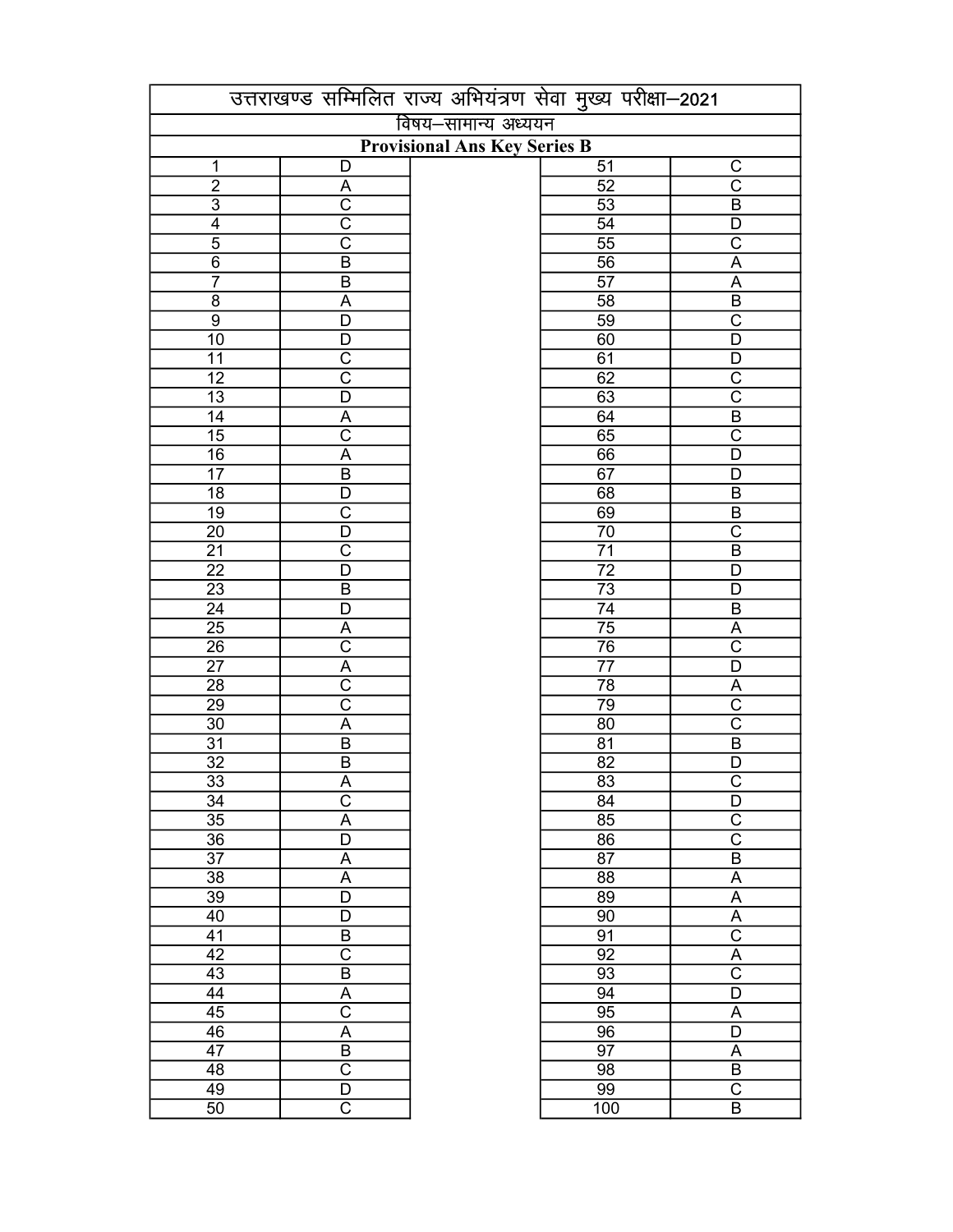|                                     | उत्तराखण्ड सम्मिलित राज्य अभियंत्रण सेवा मुख्य परीक्षा-2021 |  |                 |                                                    |  |
|-------------------------------------|-------------------------------------------------------------|--|-----------------|----------------------------------------------------|--|
|                                     | विषय–सामान्य अध्ययन                                         |  |                 |                                                    |  |
| <b>Provisional Ans Key Series B</b> |                                                             |  |                 |                                                    |  |
| 1                                   | D                                                           |  | 51              | C                                                  |  |
| $\overline{2}$                      | $\overline{\mathsf{A}}$                                     |  | $\overline{52}$ | $\overline{\text{c}}$                              |  |
| $\overline{3}$                      | $\overline{\text{c}}$                                       |  | $\overline{53}$ | $\overline{B}$                                     |  |
| $\overline{4}$                      | $\overline{\text{c}}$                                       |  | $\overline{54}$ | $\overline{D}$                                     |  |
| $\overline{5}$                      | $\overline{\text{c}}$                                       |  | $\overline{55}$ | $\overline{\text{c}}$                              |  |
| $\overline{6}$                      | $\overline{B}$                                              |  | $\overline{56}$ | $\overline{A}$                                     |  |
| $\overline{7}$                      | $\overline{B}$                                              |  | $\overline{57}$ | $\overline{A}$                                     |  |
| $\overline{8}$                      | $\overline{A}$                                              |  | $\overline{58}$ | $\overline{B}$                                     |  |
| $\overline{9}$                      | $\overline{\mathsf{D}}$                                     |  | $\overline{59}$ | $\overline{\mathrm{C}}$                            |  |
| $\overline{10}$                     | $\overline{\mathsf{D}}$                                     |  | 60              | $\overline{\mathsf{D}}$                            |  |
| 11                                  | $\overline{\text{c}}$                                       |  | 61              | D                                                  |  |
| $\overline{12}$                     | $\overline{\text{c}}$                                       |  | 62              | $\overline{\text{c}}$                              |  |
| $\overline{13}$                     | $\overline{D}$                                              |  | 63              | $\overline{\text{c}}$                              |  |
| $\overline{14}$                     | $\overline{A}$                                              |  | 64              | $\overline{B}$                                     |  |
| $\overline{15}$                     | $\overline{\text{c}}$                                       |  | 65              | $\overline{\text{c}}$                              |  |
| $\overline{16}$                     | A                                                           |  | 66              | D                                                  |  |
| $\overline{17}$                     | $\overline{B}$                                              |  | 67              | D                                                  |  |
| 18                                  | D                                                           |  | 68              | $\sf B$                                            |  |
| $\overline{19}$                     | $\overline{\text{c}}$                                       |  | 69              | $\overline{B}$                                     |  |
| $\overline{20}$                     | D                                                           |  | $\overline{70}$ | $\overline{\text{c}}$                              |  |
| $\overline{21}$                     | $\overline{\text{c}}$                                       |  | $\overline{71}$ | $\overline{B}$                                     |  |
| $\overline{22}$                     | D                                                           |  | $\overline{72}$ | D                                                  |  |
| $\overline{23}$                     | $\overline{B}$                                              |  | $\overline{73}$ | $\overline{D}$                                     |  |
| $\overline{24}$                     | $\overline{\mathsf{D}}$                                     |  | $\overline{74}$ | $\overline{B}$                                     |  |
| $\overline{25}$                     | $\overline{A}$                                              |  | $\overline{75}$ | $\overline{A}$                                     |  |
|                                     | $\overline{\text{c}}$                                       |  | $\overline{76}$ | $\overline{\text{c}}$                              |  |
| $\overline{26}$<br>$\overline{27}$  | $\overline{\mathsf{A}}$                                     |  | $\overline{77}$ | $\overline{\mathsf{D}}$                            |  |
| $\overline{28}$                     | $\overline{\text{c}}$                                       |  | $\overline{78}$ |                                                    |  |
|                                     | $\overline{\mathrm{c}}$                                     |  | 79              | $\overline{\mathsf{A}}$<br>$\overline{\mathrm{c}}$ |  |
| $\overline{29}$                     | $\overline{\mathsf{A}}$                                     |  |                 | $\overline{\text{c}}$                              |  |
| $\overline{30}$                     | $\overline{B}$                                              |  | $\overline{80}$ | $\overline{B}$                                     |  |
| $\overline{31}$                     |                                                             |  | $\overline{81}$ |                                                    |  |
| $\overline{32}$                     | $\overline{B}$                                              |  | $\overline{82}$ | $\overline{\mathsf{D}}$<br>$\overline{\text{c}}$   |  |
| $\overline{33}$                     | $\overline{\mathsf{A}}$                                     |  | 83              |                                                    |  |
| 34                                  | $\mathsf C$                                                 |  | 84              | D                                                  |  |
| 35                                  | A                                                           |  | 85              | $\overline{C}$                                     |  |
| 36                                  | D                                                           |  | 86              | $\overline{\text{C}}$                              |  |
| 37                                  | A                                                           |  | 87              | $\overline{B}$                                     |  |
| 38                                  | $\overline{A}$                                              |  | $\overline{88}$ | $\boldsymbol{\mathsf{A}}$                          |  |
| 39                                  | $\overline{\mathsf{D}}$                                     |  | $\overline{89}$ | $\overline{A}$                                     |  |
| 40                                  | D                                                           |  | $\overline{90}$ | $\overline{A}$                                     |  |
| 41                                  | B                                                           |  | $\overline{91}$ | $\overline{\text{C}}$                              |  |
| $\overline{42}$                     | $\overline{\text{c}}$                                       |  | $\overline{92}$ | $\overline{A}$                                     |  |
| $\overline{43}$                     | $\overline{B}$                                              |  | 93              | $\overline{\text{C}}$                              |  |
| $\overline{44}$                     | $\overline{A}$                                              |  | 94              | $\overline{D}$                                     |  |
| 45                                  | $\overline{\text{c}}$                                       |  | 95              | A                                                  |  |
| $\overline{46}$                     | $\overline{A}$                                              |  | $\overline{96}$ | $\overline{D}$                                     |  |
| 47                                  | $\overline{B}$                                              |  | 97              | A                                                  |  |
| 48                                  | $\overline{\text{c}}$                                       |  | $\overline{98}$ | $\overline{B}$                                     |  |
| 49                                  | $\overline{\mathsf{D}}$                                     |  | 99              | $\overline{\mathsf{C}}$                            |  |
| 50                                  | $\overline{\mathsf{C}}$                                     |  | 100             | $\overline{B}$                                     |  |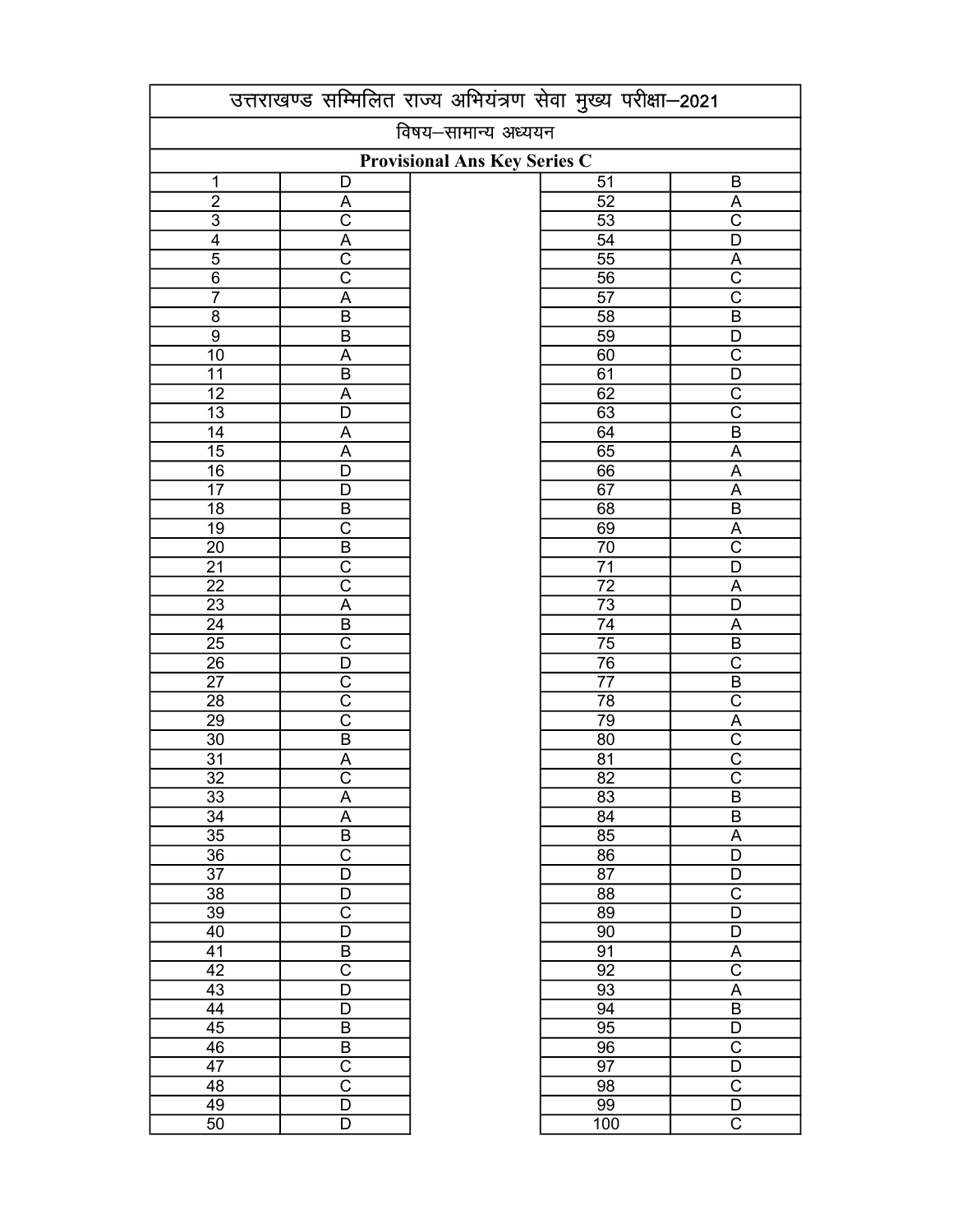| विषय-सामान्य अध्ययन<br>Provisional Ans Key Series C<br>51<br>1<br>B<br>D<br>$\overline{2}$<br>$\overline{52}$<br>$\overline{A}$<br>A<br>$\overline{C}$<br>$\overline{\mathrm{c}}$<br>$\frac{3}{4}$<br>53<br>$\overline{A}$<br>$\overline{54}$<br>$\overline{\mathsf{D}}$<br>$\overline{\text{c}}$<br>$\overline{5}$<br>$\overline{55}$<br>$\overline{A}$<br>$\overline{\text{c}}$<br>$\overline{\text{C}}$<br>$\overline{6}$<br>$\overline{56}$<br>$\overline{\text{c}}$<br>$\overline{7}$<br>$\overline{57}$<br>A<br>$\overline{B}$<br>$\overline{8}$<br>$\overline{B}$<br>$\overline{58}$<br>$\overline{9}$<br>59<br>$\overline{B}$<br>D<br>$\overline{\text{c}}$<br>$\overline{10}$<br>60<br>A<br>$\overline{D}$<br>$\overline{11}$<br>$\overline{B}$<br>61<br>62<br>$\overline{\text{c}}$<br>$\overline{12}$<br>$\overline{A}$<br>$\overline{\text{c}}$<br>$\overline{13}$<br>63<br>$\overline{\mathsf{D}}$<br>$\overline{14}$<br>64<br>$\overline{B}$<br>$\overline{A}$<br>$\overline{15}$<br>$\overline{65}$<br>$\overline{A}$<br>$\overline{A}$<br>$\overline{16}$<br>66<br>$\overline{\mathsf{D}}$<br>$\overline{A}$<br>$\overline{17}$<br>67<br>$\overline{D}$<br>$\overline{A}$<br>$\overline{18}$<br>$\overline{B}$<br>$\overline{B}$<br>68<br>$\overline{19}$<br>$\overline{\text{c}}$<br>69<br>$\overline{A}$<br>$\overline{B}$<br>$\overline{70}$<br>$\overline{\text{C}}$<br>$\overline{20}$<br>$\overline{\text{c}}$<br>$\overline{71}$<br>$\overline{21}$<br>$\overline{\mathsf{D}}$<br>$\overline{\text{c}}$<br>$\overline{22}$<br>$\overline{72}$<br>A<br>$\overline{23}$<br>$\overline{A}$<br>$\overline{73}$<br>$\overline{D}$<br>$\overline{24}$<br>$\overline{B}$<br>$\overline{74}$<br>A<br>$\overline{25}$<br>$\overline{\text{c}}$<br>$\overline{75}$<br>$\overline{B}$<br>$\overline{76}$<br>$\overline{\text{C}}$<br>$\overline{26}$<br>$\overline{D}$<br>$\overline{B}$<br>$\overline{27}$<br>$\overline{\text{c}}$<br>$\overline{77}$<br>$\overline{\text{c}}$<br>$\overline{C}$<br>$\overline{78}$<br>28<br>$\overline{\text{c}}$<br>79<br>$\overline{29}$<br>$\overline{A}$<br>$\overline{\mathrm{C}}$<br>$\overline{30}$<br>$\overline{B}$<br>$\overline{80}$<br>$\overline{C}$<br>$\overline{31}$<br>$\overline{81}$<br>A<br>$\overline{\text{c}}$<br>$\overline{\text{c}}$<br>$\overline{32}$<br>$\overline{82}$<br>33<br>83<br>A<br>B<br>$\overline{\mathsf{A}}$<br>$\overline{34}$<br>$\overline{84}$<br>$\overline{B}$<br>$\overline{\mathsf{B}}$<br>$\overline{35}$<br>85<br>$\overline{A}$<br>$\overline{\text{c}}$<br>$\overline{36}$<br>$\overline{86}$<br>$\overline{\mathsf{D}}$<br>$\overline{D}$<br>37<br>87<br>D<br>$\overline{\text{c}}$<br>38<br>88<br>D<br>$\overline{\text{c}}$<br>$\overline{D}$<br>39<br>89<br>D<br>D<br>40<br>90<br>B<br>91<br>41<br>Α<br>$\overline{\text{c}}$<br>$\overline{\text{c}}$<br>42<br>92<br>A<br>43<br>D<br>93<br>$\overline{B}$<br>44<br>94<br>D<br>45<br>$\overline{B}$<br>95<br>$\overline{D}$<br>$\overline{\text{C}}$<br>$\overline{46}$<br>$\overline{B}$<br>96<br>$\overline{\text{c}}$<br>$\overline{47}$<br>97<br>$\overline{D}$<br>$\overline{\text{c}}$<br>$\overline{\text{c}}$<br>98<br>48<br>49<br>$\overline{D}$<br>99<br>$\overline{D}$ |                 | उत्तराखण्ड सम्मिलित राज्य अभियंत्रण सेवा मुख्य परीक्षा-2021 |  |     |                       |  |
|-------------------------------------------------------------------------------------------------------------------------------------------------------------------------------------------------------------------------------------------------------------------------------------------------------------------------------------------------------------------------------------------------------------------------------------------------------------------------------------------------------------------------------------------------------------------------------------------------------------------------------------------------------------------------------------------------------------------------------------------------------------------------------------------------------------------------------------------------------------------------------------------------------------------------------------------------------------------------------------------------------------------------------------------------------------------------------------------------------------------------------------------------------------------------------------------------------------------------------------------------------------------------------------------------------------------------------------------------------------------------------------------------------------------------------------------------------------------------------------------------------------------------------------------------------------------------------------------------------------------------------------------------------------------------------------------------------------------------------------------------------------------------------------------------------------------------------------------------------------------------------------------------------------------------------------------------------------------------------------------------------------------------------------------------------------------------------------------------------------------------------------------------------------------------------------------------------------------------------------------------------------------------------------------------------------------------------------------------------------------------------------------------------------------------------------------------------------------------------------------------------------------------------------------------------------------------------------------------------------------------------------------------------------------------------------------------------------------------------------------------------------------------------------------------------------------------------------------------------------------------------------------------------------------------------------------------------------------------------------------------------------------------------------------------------------------------------------------------------------------------------------------------------------------------------------------------------------------------------------------|-----------------|-------------------------------------------------------------|--|-----|-----------------------|--|
|                                                                                                                                                                                                                                                                                                                                                                                                                                                                                                                                                                                                                                                                                                                                                                                                                                                                                                                                                                                                                                                                                                                                                                                                                                                                                                                                                                                                                                                                                                                                                                                                                                                                                                                                                                                                                                                                                                                                                                                                                                                                                                                                                                                                                                                                                                                                                                                                                                                                                                                                                                                                                                                                                                                                                                                                                                                                                                                                                                                                                                                                                                                                                                                                                                           |                 |                                                             |  |     |                       |  |
|                                                                                                                                                                                                                                                                                                                                                                                                                                                                                                                                                                                                                                                                                                                                                                                                                                                                                                                                                                                                                                                                                                                                                                                                                                                                                                                                                                                                                                                                                                                                                                                                                                                                                                                                                                                                                                                                                                                                                                                                                                                                                                                                                                                                                                                                                                                                                                                                                                                                                                                                                                                                                                                                                                                                                                                                                                                                                                                                                                                                                                                                                                                                                                                                                                           |                 |                                                             |  |     |                       |  |
|                                                                                                                                                                                                                                                                                                                                                                                                                                                                                                                                                                                                                                                                                                                                                                                                                                                                                                                                                                                                                                                                                                                                                                                                                                                                                                                                                                                                                                                                                                                                                                                                                                                                                                                                                                                                                                                                                                                                                                                                                                                                                                                                                                                                                                                                                                                                                                                                                                                                                                                                                                                                                                                                                                                                                                                                                                                                                                                                                                                                                                                                                                                                                                                                                                           |                 |                                                             |  |     |                       |  |
|                                                                                                                                                                                                                                                                                                                                                                                                                                                                                                                                                                                                                                                                                                                                                                                                                                                                                                                                                                                                                                                                                                                                                                                                                                                                                                                                                                                                                                                                                                                                                                                                                                                                                                                                                                                                                                                                                                                                                                                                                                                                                                                                                                                                                                                                                                                                                                                                                                                                                                                                                                                                                                                                                                                                                                                                                                                                                                                                                                                                                                                                                                                                                                                                                                           |                 |                                                             |  |     |                       |  |
|                                                                                                                                                                                                                                                                                                                                                                                                                                                                                                                                                                                                                                                                                                                                                                                                                                                                                                                                                                                                                                                                                                                                                                                                                                                                                                                                                                                                                                                                                                                                                                                                                                                                                                                                                                                                                                                                                                                                                                                                                                                                                                                                                                                                                                                                                                                                                                                                                                                                                                                                                                                                                                                                                                                                                                                                                                                                                                                                                                                                                                                                                                                                                                                                                                           |                 |                                                             |  |     |                       |  |
|                                                                                                                                                                                                                                                                                                                                                                                                                                                                                                                                                                                                                                                                                                                                                                                                                                                                                                                                                                                                                                                                                                                                                                                                                                                                                                                                                                                                                                                                                                                                                                                                                                                                                                                                                                                                                                                                                                                                                                                                                                                                                                                                                                                                                                                                                                                                                                                                                                                                                                                                                                                                                                                                                                                                                                                                                                                                                                                                                                                                                                                                                                                                                                                                                                           |                 |                                                             |  |     |                       |  |
|                                                                                                                                                                                                                                                                                                                                                                                                                                                                                                                                                                                                                                                                                                                                                                                                                                                                                                                                                                                                                                                                                                                                                                                                                                                                                                                                                                                                                                                                                                                                                                                                                                                                                                                                                                                                                                                                                                                                                                                                                                                                                                                                                                                                                                                                                                                                                                                                                                                                                                                                                                                                                                                                                                                                                                                                                                                                                                                                                                                                                                                                                                                                                                                                                                           |                 |                                                             |  |     |                       |  |
|                                                                                                                                                                                                                                                                                                                                                                                                                                                                                                                                                                                                                                                                                                                                                                                                                                                                                                                                                                                                                                                                                                                                                                                                                                                                                                                                                                                                                                                                                                                                                                                                                                                                                                                                                                                                                                                                                                                                                                                                                                                                                                                                                                                                                                                                                                                                                                                                                                                                                                                                                                                                                                                                                                                                                                                                                                                                                                                                                                                                                                                                                                                                                                                                                                           |                 |                                                             |  |     |                       |  |
|                                                                                                                                                                                                                                                                                                                                                                                                                                                                                                                                                                                                                                                                                                                                                                                                                                                                                                                                                                                                                                                                                                                                                                                                                                                                                                                                                                                                                                                                                                                                                                                                                                                                                                                                                                                                                                                                                                                                                                                                                                                                                                                                                                                                                                                                                                                                                                                                                                                                                                                                                                                                                                                                                                                                                                                                                                                                                                                                                                                                                                                                                                                                                                                                                                           |                 |                                                             |  |     |                       |  |
|                                                                                                                                                                                                                                                                                                                                                                                                                                                                                                                                                                                                                                                                                                                                                                                                                                                                                                                                                                                                                                                                                                                                                                                                                                                                                                                                                                                                                                                                                                                                                                                                                                                                                                                                                                                                                                                                                                                                                                                                                                                                                                                                                                                                                                                                                                                                                                                                                                                                                                                                                                                                                                                                                                                                                                                                                                                                                                                                                                                                                                                                                                                                                                                                                                           |                 |                                                             |  |     |                       |  |
|                                                                                                                                                                                                                                                                                                                                                                                                                                                                                                                                                                                                                                                                                                                                                                                                                                                                                                                                                                                                                                                                                                                                                                                                                                                                                                                                                                                                                                                                                                                                                                                                                                                                                                                                                                                                                                                                                                                                                                                                                                                                                                                                                                                                                                                                                                                                                                                                                                                                                                                                                                                                                                                                                                                                                                                                                                                                                                                                                                                                                                                                                                                                                                                                                                           |                 |                                                             |  |     |                       |  |
|                                                                                                                                                                                                                                                                                                                                                                                                                                                                                                                                                                                                                                                                                                                                                                                                                                                                                                                                                                                                                                                                                                                                                                                                                                                                                                                                                                                                                                                                                                                                                                                                                                                                                                                                                                                                                                                                                                                                                                                                                                                                                                                                                                                                                                                                                                                                                                                                                                                                                                                                                                                                                                                                                                                                                                                                                                                                                                                                                                                                                                                                                                                                                                                                                                           |                 |                                                             |  |     |                       |  |
|                                                                                                                                                                                                                                                                                                                                                                                                                                                                                                                                                                                                                                                                                                                                                                                                                                                                                                                                                                                                                                                                                                                                                                                                                                                                                                                                                                                                                                                                                                                                                                                                                                                                                                                                                                                                                                                                                                                                                                                                                                                                                                                                                                                                                                                                                                                                                                                                                                                                                                                                                                                                                                                                                                                                                                                                                                                                                                                                                                                                                                                                                                                                                                                                                                           |                 |                                                             |  |     |                       |  |
|                                                                                                                                                                                                                                                                                                                                                                                                                                                                                                                                                                                                                                                                                                                                                                                                                                                                                                                                                                                                                                                                                                                                                                                                                                                                                                                                                                                                                                                                                                                                                                                                                                                                                                                                                                                                                                                                                                                                                                                                                                                                                                                                                                                                                                                                                                                                                                                                                                                                                                                                                                                                                                                                                                                                                                                                                                                                                                                                                                                                                                                                                                                                                                                                                                           |                 |                                                             |  |     |                       |  |
|                                                                                                                                                                                                                                                                                                                                                                                                                                                                                                                                                                                                                                                                                                                                                                                                                                                                                                                                                                                                                                                                                                                                                                                                                                                                                                                                                                                                                                                                                                                                                                                                                                                                                                                                                                                                                                                                                                                                                                                                                                                                                                                                                                                                                                                                                                                                                                                                                                                                                                                                                                                                                                                                                                                                                                                                                                                                                                                                                                                                                                                                                                                                                                                                                                           |                 |                                                             |  |     |                       |  |
|                                                                                                                                                                                                                                                                                                                                                                                                                                                                                                                                                                                                                                                                                                                                                                                                                                                                                                                                                                                                                                                                                                                                                                                                                                                                                                                                                                                                                                                                                                                                                                                                                                                                                                                                                                                                                                                                                                                                                                                                                                                                                                                                                                                                                                                                                                                                                                                                                                                                                                                                                                                                                                                                                                                                                                                                                                                                                                                                                                                                                                                                                                                                                                                                                                           |                 |                                                             |  |     |                       |  |
|                                                                                                                                                                                                                                                                                                                                                                                                                                                                                                                                                                                                                                                                                                                                                                                                                                                                                                                                                                                                                                                                                                                                                                                                                                                                                                                                                                                                                                                                                                                                                                                                                                                                                                                                                                                                                                                                                                                                                                                                                                                                                                                                                                                                                                                                                                                                                                                                                                                                                                                                                                                                                                                                                                                                                                                                                                                                                                                                                                                                                                                                                                                                                                                                                                           |                 |                                                             |  |     |                       |  |
|                                                                                                                                                                                                                                                                                                                                                                                                                                                                                                                                                                                                                                                                                                                                                                                                                                                                                                                                                                                                                                                                                                                                                                                                                                                                                                                                                                                                                                                                                                                                                                                                                                                                                                                                                                                                                                                                                                                                                                                                                                                                                                                                                                                                                                                                                                                                                                                                                                                                                                                                                                                                                                                                                                                                                                                                                                                                                                                                                                                                                                                                                                                                                                                                                                           |                 |                                                             |  |     |                       |  |
|                                                                                                                                                                                                                                                                                                                                                                                                                                                                                                                                                                                                                                                                                                                                                                                                                                                                                                                                                                                                                                                                                                                                                                                                                                                                                                                                                                                                                                                                                                                                                                                                                                                                                                                                                                                                                                                                                                                                                                                                                                                                                                                                                                                                                                                                                                                                                                                                                                                                                                                                                                                                                                                                                                                                                                                                                                                                                                                                                                                                                                                                                                                                                                                                                                           |                 |                                                             |  |     |                       |  |
|                                                                                                                                                                                                                                                                                                                                                                                                                                                                                                                                                                                                                                                                                                                                                                                                                                                                                                                                                                                                                                                                                                                                                                                                                                                                                                                                                                                                                                                                                                                                                                                                                                                                                                                                                                                                                                                                                                                                                                                                                                                                                                                                                                                                                                                                                                                                                                                                                                                                                                                                                                                                                                                                                                                                                                                                                                                                                                                                                                                                                                                                                                                                                                                                                                           |                 |                                                             |  |     |                       |  |
|                                                                                                                                                                                                                                                                                                                                                                                                                                                                                                                                                                                                                                                                                                                                                                                                                                                                                                                                                                                                                                                                                                                                                                                                                                                                                                                                                                                                                                                                                                                                                                                                                                                                                                                                                                                                                                                                                                                                                                                                                                                                                                                                                                                                                                                                                                                                                                                                                                                                                                                                                                                                                                                                                                                                                                                                                                                                                                                                                                                                                                                                                                                                                                                                                                           |                 |                                                             |  |     |                       |  |
|                                                                                                                                                                                                                                                                                                                                                                                                                                                                                                                                                                                                                                                                                                                                                                                                                                                                                                                                                                                                                                                                                                                                                                                                                                                                                                                                                                                                                                                                                                                                                                                                                                                                                                                                                                                                                                                                                                                                                                                                                                                                                                                                                                                                                                                                                                                                                                                                                                                                                                                                                                                                                                                                                                                                                                                                                                                                                                                                                                                                                                                                                                                                                                                                                                           |                 |                                                             |  |     |                       |  |
|                                                                                                                                                                                                                                                                                                                                                                                                                                                                                                                                                                                                                                                                                                                                                                                                                                                                                                                                                                                                                                                                                                                                                                                                                                                                                                                                                                                                                                                                                                                                                                                                                                                                                                                                                                                                                                                                                                                                                                                                                                                                                                                                                                                                                                                                                                                                                                                                                                                                                                                                                                                                                                                                                                                                                                                                                                                                                                                                                                                                                                                                                                                                                                                                                                           |                 |                                                             |  |     |                       |  |
|                                                                                                                                                                                                                                                                                                                                                                                                                                                                                                                                                                                                                                                                                                                                                                                                                                                                                                                                                                                                                                                                                                                                                                                                                                                                                                                                                                                                                                                                                                                                                                                                                                                                                                                                                                                                                                                                                                                                                                                                                                                                                                                                                                                                                                                                                                                                                                                                                                                                                                                                                                                                                                                                                                                                                                                                                                                                                                                                                                                                                                                                                                                                                                                                                                           |                 |                                                             |  |     |                       |  |
|                                                                                                                                                                                                                                                                                                                                                                                                                                                                                                                                                                                                                                                                                                                                                                                                                                                                                                                                                                                                                                                                                                                                                                                                                                                                                                                                                                                                                                                                                                                                                                                                                                                                                                                                                                                                                                                                                                                                                                                                                                                                                                                                                                                                                                                                                                                                                                                                                                                                                                                                                                                                                                                                                                                                                                                                                                                                                                                                                                                                                                                                                                                                                                                                                                           |                 |                                                             |  |     |                       |  |
|                                                                                                                                                                                                                                                                                                                                                                                                                                                                                                                                                                                                                                                                                                                                                                                                                                                                                                                                                                                                                                                                                                                                                                                                                                                                                                                                                                                                                                                                                                                                                                                                                                                                                                                                                                                                                                                                                                                                                                                                                                                                                                                                                                                                                                                                                                                                                                                                                                                                                                                                                                                                                                                                                                                                                                                                                                                                                                                                                                                                                                                                                                                                                                                                                                           |                 |                                                             |  |     |                       |  |
|                                                                                                                                                                                                                                                                                                                                                                                                                                                                                                                                                                                                                                                                                                                                                                                                                                                                                                                                                                                                                                                                                                                                                                                                                                                                                                                                                                                                                                                                                                                                                                                                                                                                                                                                                                                                                                                                                                                                                                                                                                                                                                                                                                                                                                                                                                                                                                                                                                                                                                                                                                                                                                                                                                                                                                                                                                                                                                                                                                                                                                                                                                                                                                                                                                           |                 |                                                             |  |     |                       |  |
|                                                                                                                                                                                                                                                                                                                                                                                                                                                                                                                                                                                                                                                                                                                                                                                                                                                                                                                                                                                                                                                                                                                                                                                                                                                                                                                                                                                                                                                                                                                                                                                                                                                                                                                                                                                                                                                                                                                                                                                                                                                                                                                                                                                                                                                                                                                                                                                                                                                                                                                                                                                                                                                                                                                                                                                                                                                                                                                                                                                                                                                                                                                                                                                                                                           |                 |                                                             |  |     |                       |  |
|                                                                                                                                                                                                                                                                                                                                                                                                                                                                                                                                                                                                                                                                                                                                                                                                                                                                                                                                                                                                                                                                                                                                                                                                                                                                                                                                                                                                                                                                                                                                                                                                                                                                                                                                                                                                                                                                                                                                                                                                                                                                                                                                                                                                                                                                                                                                                                                                                                                                                                                                                                                                                                                                                                                                                                                                                                                                                                                                                                                                                                                                                                                                                                                                                                           |                 |                                                             |  |     |                       |  |
|                                                                                                                                                                                                                                                                                                                                                                                                                                                                                                                                                                                                                                                                                                                                                                                                                                                                                                                                                                                                                                                                                                                                                                                                                                                                                                                                                                                                                                                                                                                                                                                                                                                                                                                                                                                                                                                                                                                                                                                                                                                                                                                                                                                                                                                                                                                                                                                                                                                                                                                                                                                                                                                                                                                                                                                                                                                                                                                                                                                                                                                                                                                                                                                                                                           |                 |                                                             |  |     |                       |  |
|                                                                                                                                                                                                                                                                                                                                                                                                                                                                                                                                                                                                                                                                                                                                                                                                                                                                                                                                                                                                                                                                                                                                                                                                                                                                                                                                                                                                                                                                                                                                                                                                                                                                                                                                                                                                                                                                                                                                                                                                                                                                                                                                                                                                                                                                                                                                                                                                                                                                                                                                                                                                                                                                                                                                                                                                                                                                                                                                                                                                                                                                                                                                                                                                                                           |                 |                                                             |  |     |                       |  |
|                                                                                                                                                                                                                                                                                                                                                                                                                                                                                                                                                                                                                                                                                                                                                                                                                                                                                                                                                                                                                                                                                                                                                                                                                                                                                                                                                                                                                                                                                                                                                                                                                                                                                                                                                                                                                                                                                                                                                                                                                                                                                                                                                                                                                                                                                                                                                                                                                                                                                                                                                                                                                                                                                                                                                                                                                                                                                                                                                                                                                                                                                                                                                                                                                                           |                 |                                                             |  |     |                       |  |
|                                                                                                                                                                                                                                                                                                                                                                                                                                                                                                                                                                                                                                                                                                                                                                                                                                                                                                                                                                                                                                                                                                                                                                                                                                                                                                                                                                                                                                                                                                                                                                                                                                                                                                                                                                                                                                                                                                                                                                                                                                                                                                                                                                                                                                                                                                                                                                                                                                                                                                                                                                                                                                                                                                                                                                                                                                                                                                                                                                                                                                                                                                                                                                                                                                           |                 |                                                             |  |     |                       |  |
|                                                                                                                                                                                                                                                                                                                                                                                                                                                                                                                                                                                                                                                                                                                                                                                                                                                                                                                                                                                                                                                                                                                                                                                                                                                                                                                                                                                                                                                                                                                                                                                                                                                                                                                                                                                                                                                                                                                                                                                                                                                                                                                                                                                                                                                                                                                                                                                                                                                                                                                                                                                                                                                                                                                                                                                                                                                                                                                                                                                                                                                                                                                                                                                                                                           |                 |                                                             |  |     |                       |  |
|                                                                                                                                                                                                                                                                                                                                                                                                                                                                                                                                                                                                                                                                                                                                                                                                                                                                                                                                                                                                                                                                                                                                                                                                                                                                                                                                                                                                                                                                                                                                                                                                                                                                                                                                                                                                                                                                                                                                                                                                                                                                                                                                                                                                                                                                                                                                                                                                                                                                                                                                                                                                                                                                                                                                                                                                                                                                                                                                                                                                                                                                                                                                                                                                                                           |                 |                                                             |  |     |                       |  |
|                                                                                                                                                                                                                                                                                                                                                                                                                                                                                                                                                                                                                                                                                                                                                                                                                                                                                                                                                                                                                                                                                                                                                                                                                                                                                                                                                                                                                                                                                                                                                                                                                                                                                                                                                                                                                                                                                                                                                                                                                                                                                                                                                                                                                                                                                                                                                                                                                                                                                                                                                                                                                                                                                                                                                                                                                                                                                                                                                                                                                                                                                                                                                                                                                                           |                 |                                                             |  |     |                       |  |
|                                                                                                                                                                                                                                                                                                                                                                                                                                                                                                                                                                                                                                                                                                                                                                                                                                                                                                                                                                                                                                                                                                                                                                                                                                                                                                                                                                                                                                                                                                                                                                                                                                                                                                                                                                                                                                                                                                                                                                                                                                                                                                                                                                                                                                                                                                                                                                                                                                                                                                                                                                                                                                                                                                                                                                                                                                                                                                                                                                                                                                                                                                                                                                                                                                           |                 |                                                             |  |     |                       |  |
|                                                                                                                                                                                                                                                                                                                                                                                                                                                                                                                                                                                                                                                                                                                                                                                                                                                                                                                                                                                                                                                                                                                                                                                                                                                                                                                                                                                                                                                                                                                                                                                                                                                                                                                                                                                                                                                                                                                                                                                                                                                                                                                                                                                                                                                                                                                                                                                                                                                                                                                                                                                                                                                                                                                                                                                                                                                                                                                                                                                                                                                                                                                                                                                                                                           |                 |                                                             |  |     |                       |  |
|                                                                                                                                                                                                                                                                                                                                                                                                                                                                                                                                                                                                                                                                                                                                                                                                                                                                                                                                                                                                                                                                                                                                                                                                                                                                                                                                                                                                                                                                                                                                                                                                                                                                                                                                                                                                                                                                                                                                                                                                                                                                                                                                                                                                                                                                                                                                                                                                                                                                                                                                                                                                                                                                                                                                                                                                                                                                                                                                                                                                                                                                                                                                                                                                                                           |                 |                                                             |  |     |                       |  |
|                                                                                                                                                                                                                                                                                                                                                                                                                                                                                                                                                                                                                                                                                                                                                                                                                                                                                                                                                                                                                                                                                                                                                                                                                                                                                                                                                                                                                                                                                                                                                                                                                                                                                                                                                                                                                                                                                                                                                                                                                                                                                                                                                                                                                                                                                                                                                                                                                                                                                                                                                                                                                                                                                                                                                                                                                                                                                                                                                                                                                                                                                                                                                                                                                                           |                 |                                                             |  |     |                       |  |
|                                                                                                                                                                                                                                                                                                                                                                                                                                                                                                                                                                                                                                                                                                                                                                                                                                                                                                                                                                                                                                                                                                                                                                                                                                                                                                                                                                                                                                                                                                                                                                                                                                                                                                                                                                                                                                                                                                                                                                                                                                                                                                                                                                                                                                                                                                                                                                                                                                                                                                                                                                                                                                                                                                                                                                                                                                                                                                                                                                                                                                                                                                                                                                                                                                           |                 |                                                             |  |     |                       |  |
|                                                                                                                                                                                                                                                                                                                                                                                                                                                                                                                                                                                                                                                                                                                                                                                                                                                                                                                                                                                                                                                                                                                                                                                                                                                                                                                                                                                                                                                                                                                                                                                                                                                                                                                                                                                                                                                                                                                                                                                                                                                                                                                                                                                                                                                                                                                                                                                                                                                                                                                                                                                                                                                                                                                                                                                                                                                                                                                                                                                                                                                                                                                                                                                                                                           |                 |                                                             |  |     |                       |  |
|                                                                                                                                                                                                                                                                                                                                                                                                                                                                                                                                                                                                                                                                                                                                                                                                                                                                                                                                                                                                                                                                                                                                                                                                                                                                                                                                                                                                                                                                                                                                                                                                                                                                                                                                                                                                                                                                                                                                                                                                                                                                                                                                                                                                                                                                                                                                                                                                                                                                                                                                                                                                                                                                                                                                                                                                                                                                                                                                                                                                                                                                                                                                                                                                                                           |                 |                                                             |  |     |                       |  |
|                                                                                                                                                                                                                                                                                                                                                                                                                                                                                                                                                                                                                                                                                                                                                                                                                                                                                                                                                                                                                                                                                                                                                                                                                                                                                                                                                                                                                                                                                                                                                                                                                                                                                                                                                                                                                                                                                                                                                                                                                                                                                                                                                                                                                                                                                                                                                                                                                                                                                                                                                                                                                                                                                                                                                                                                                                                                                                                                                                                                                                                                                                                                                                                                                                           |                 |                                                             |  |     |                       |  |
|                                                                                                                                                                                                                                                                                                                                                                                                                                                                                                                                                                                                                                                                                                                                                                                                                                                                                                                                                                                                                                                                                                                                                                                                                                                                                                                                                                                                                                                                                                                                                                                                                                                                                                                                                                                                                                                                                                                                                                                                                                                                                                                                                                                                                                                                                                                                                                                                                                                                                                                                                                                                                                                                                                                                                                                                                                                                                                                                                                                                                                                                                                                                                                                                                                           |                 |                                                             |  |     |                       |  |
|                                                                                                                                                                                                                                                                                                                                                                                                                                                                                                                                                                                                                                                                                                                                                                                                                                                                                                                                                                                                                                                                                                                                                                                                                                                                                                                                                                                                                                                                                                                                                                                                                                                                                                                                                                                                                                                                                                                                                                                                                                                                                                                                                                                                                                                                                                                                                                                                                                                                                                                                                                                                                                                                                                                                                                                                                                                                                                                                                                                                                                                                                                                                                                                                                                           |                 |                                                             |  |     |                       |  |
|                                                                                                                                                                                                                                                                                                                                                                                                                                                                                                                                                                                                                                                                                                                                                                                                                                                                                                                                                                                                                                                                                                                                                                                                                                                                                                                                                                                                                                                                                                                                                                                                                                                                                                                                                                                                                                                                                                                                                                                                                                                                                                                                                                                                                                                                                                                                                                                                                                                                                                                                                                                                                                                                                                                                                                                                                                                                                                                                                                                                                                                                                                                                                                                                                                           |                 |                                                             |  |     |                       |  |
|                                                                                                                                                                                                                                                                                                                                                                                                                                                                                                                                                                                                                                                                                                                                                                                                                                                                                                                                                                                                                                                                                                                                                                                                                                                                                                                                                                                                                                                                                                                                                                                                                                                                                                                                                                                                                                                                                                                                                                                                                                                                                                                                                                                                                                                                                                                                                                                                                                                                                                                                                                                                                                                                                                                                                                                                                                                                                                                                                                                                                                                                                                                                                                                                                                           |                 |                                                             |  |     |                       |  |
|                                                                                                                                                                                                                                                                                                                                                                                                                                                                                                                                                                                                                                                                                                                                                                                                                                                                                                                                                                                                                                                                                                                                                                                                                                                                                                                                                                                                                                                                                                                                                                                                                                                                                                                                                                                                                                                                                                                                                                                                                                                                                                                                                                                                                                                                                                                                                                                                                                                                                                                                                                                                                                                                                                                                                                                                                                                                                                                                                                                                                                                                                                                                                                                                                                           |                 |                                                             |  |     |                       |  |
|                                                                                                                                                                                                                                                                                                                                                                                                                                                                                                                                                                                                                                                                                                                                                                                                                                                                                                                                                                                                                                                                                                                                                                                                                                                                                                                                                                                                                                                                                                                                                                                                                                                                                                                                                                                                                                                                                                                                                                                                                                                                                                                                                                                                                                                                                                                                                                                                                                                                                                                                                                                                                                                                                                                                                                                                                                                                                                                                                                                                                                                                                                                                                                                                                                           |                 |                                                             |  |     |                       |  |
|                                                                                                                                                                                                                                                                                                                                                                                                                                                                                                                                                                                                                                                                                                                                                                                                                                                                                                                                                                                                                                                                                                                                                                                                                                                                                                                                                                                                                                                                                                                                                                                                                                                                                                                                                                                                                                                                                                                                                                                                                                                                                                                                                                                                                                                                                                                                                                                                                                                                                                                                                                                                                                                                                                                                                                                                                                                                                                                                                                                                                                                                                                                                                                                                                                           | $\overline{50}$ | $\overline{\mathsf{D}}$                                     |  | 100 | $\overline{\text{C}}$ |  |